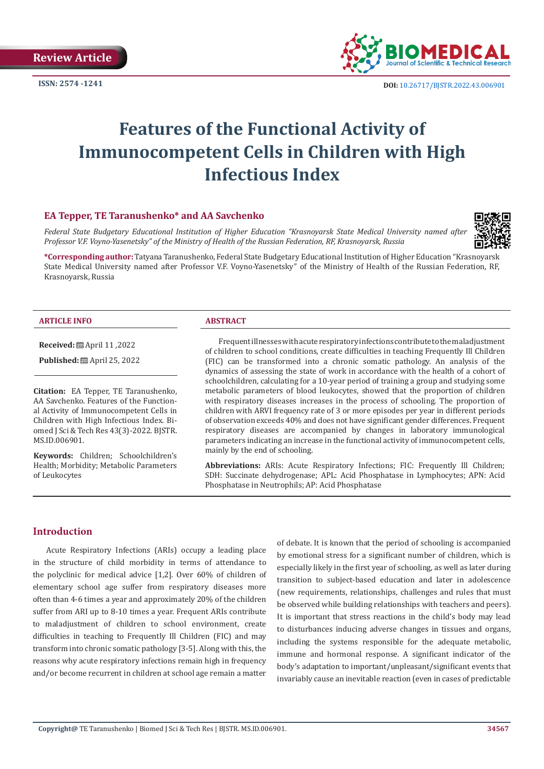**Review Article**



**ISSN:** 2574 -1241 **DOI:** [10.26717/BJSTR.2022.43.006901](https://dx.doi.org/10.26717/BJSTR.2022.43.006901)

# **Features of the Functional Activity of Immunocompetent Cells in Children with High Infectious Index**

# **EA Tepper, TE Taranushenko\* and AA Savchenko**

*Federal State Budgetary Educational Institution of Higher Education "Krasnoyarsk State Medical University named after Professor V.F. Voyno-Yasenetsky" of the Ministry of Health of the Russian Federation, RF, Krasnoyarsk, Russia*



**\*Corresponding author:** Tatyana Taranushenko, Federal State Budgetary Educational Institution of Higher Education "Krasnoyarsk State Medical University named after Professor V.F. Voyno-Yasenetsky" of the Ministry of Health of the Russian Federation, RF, Krasnoyarsk, Russia

#### **ARTICLE INFO ABSTRACT**

**Received:** April 11 ,2022

**Published:** ■ April 25, 2022

**Citation:** EA Tepper, TE Taranushenko, AA Savchenko. Features of the Functional Activity of Immunocompetent Cells in Children with High Infectious Index. Biomed J Sci & Tech Res 43(3)-2022. BJSTR. MS.ID.006901.

**Keywords:** Children; Schoolchildren's Health; Morbidity; Metabolic Parameters of Leukocytes

Frequent illnesses with acute respiratory infections contribute to the maladjustment of children to school conditions, create difficulties in teaching Frequently Ill Children (FIC) can be transformed into a chronic somatic pathology. An analysis of the dynamics of assessing the state of work in accordance with the health of a cohort of schoolchildren, calculating for a 10-year period of training a group and studying some metabolic parameters of blood leukocytes, showed that the proportion of children with respiratory diseases increases in the process of schooling. The proportion of children with ARVI frequency rate of 3 or more episodes per year in different periods of observation exceeds 40% and does not have significant gender differences. Frequent respiratory diseases are accompanied by changes in laboratory immunological parameters indicating an increase in the functional activity of immunocompetent cells, mainly by the end of schooling.

**Abbreviations:** ARIs: Acute Respiratory Infections; FIC: Frequently Ill Children; SDH: Succinate dehydrogenase; APL: Acid Phosphatase in Lymphocytes; APN: Acid Phosphatase in Neutrophils; AP: Acid Phosphatase

## **Introduction**

Acute Respiratory Infections (ARIs) occupy a leading place in the structure of child morbidity in terms of attendance to the polyclinic for medical advice [1,2]. Over 60% of children of elementary school age suffer from respiratory diseases more often than 4-6 times a year and approximately 20% of the children suffer from ARI up to 8-10 times a year. Frequent ARIs contribute to maladjustment of children to school environment, create difficulties in teaching to Frequently Ill Children (FIC) and may transform into chronic somatic pathology [3-5]. Along with this, the reasons why acute respiratory infections remain high in frequency and/or become recurrent in children at school age remain a matter

of debate. It is known that the period of schooling is accompanied by emotional stress for a significant number of children, which is especially likely in the first year of schooling, as well as later during transition to subject-based education and later in adolescence (new requirements, relationships, challenges and rules that must be observed while building relationships with teachers and peers). It is important that stress reactions in the child's body may lead to disturbances inducing adverse changes in tissues and organs, including the systems responsible for the adequate metabolic, immune and hormonal response. A significant indicator of the body's adaptation to important/unpleasant/significant events that invariably cause an inevitable reaction (even in cases of predictable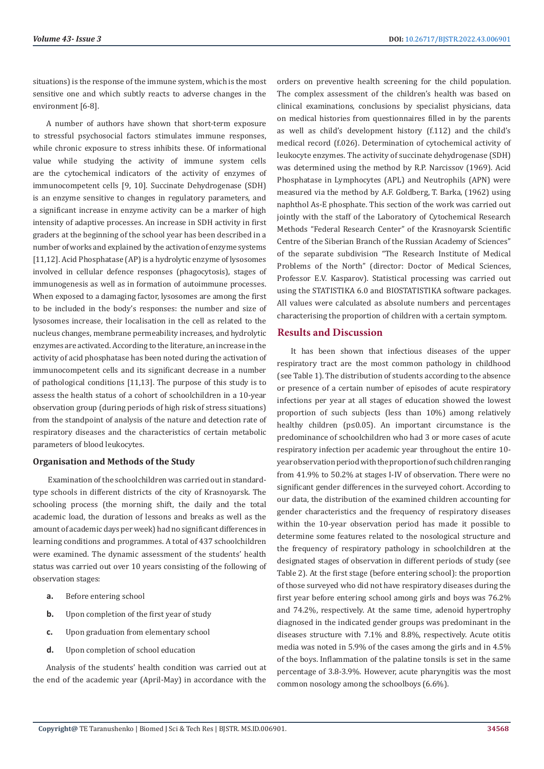situations) is the response of the immune system, which is the most sensitive one and which subtly reacts to adverse changes in the environment [6-8].

A number of authors have shown that short-term exposure to stressful psychosocial factors stimulates immune responses, while chronic exposure to stress inhibits these. Of informational value while studying the activity of immune system cells are the cytochemical indicators of the activity of enzymes of immunocompetent cells [9, 10]. Succinate Dehydrogenase (SDH) is an enzyme sensitive to changes in regulatory parameters, and a significant increase in enzyme activity can be a marker of high intensity of adaptive processes. An increase in SDH activity in first graders at the beginning of the school year has been described in a number of works and explained by the activation of enzyme systems [11,12]. Acid Phosphatase (AP) is a hydrolytic enzyme of lysosomes involved in cellular defence responses (phagocytosis), stages of immunogenesis as well as in formation of autoimmune processes. When exposed to a damaging factor, lysosomes are among the first to be included in the body's responses: the number and size of lysosomes increase, their localisation in the cell as related to the nucleus changes, membrane permeability increases, and hydrolytic enzymes are activated. According to the literature, an increase in the activity of acid phosphatase has been noted during the activation of immunocompetent cells and its significant decrease in a number of pathological conditions [11,13]. The purpose of this study is to assess the health status of a cohort of schoolchildren in a 10-year observation group (during periods of high risk of stress situations) from the standpoint of analysis of the nature and detection rate of respiratory diseases and the characteristics of certain metabolic parameters of blood leukocytes.

#### **Organisation and Methods of the Study**

 Examination of the schoolchildren was carried out in standardtype schools in different districts of the city of Krasnoyarsk. The schooling process (the morning shift, the daily and the total academic load, the duration of lessons and breaks as well as the amount of academic days per week) had no significant differences in learning conditions and programmes. A total of 437 schoolchildren were examined. The dynamic assessment of the students' health status was carried out over 10 years consisting of the following of observation stages:

- **a.** Before entering school
- **b.** Upon completion of the first year of study
- **c.** Upon graduation from elementary school
- **d.** Upon completion of school education

Analysis of the students' health condition was carried out at the end of the academic year (April-May) in accordance with the

orders on preventive health screening for the child population. The complex assessment of the children's health was based on clinical examinations, conclusions by specialist physicians, data on medical histories from questionnaires filled in by the parents as well as child's development history (f.112) and the child's medical record (f.026). Determination of cytochemical activity of leukocyte enzymes. The activity of succinate dehydrogenase (SDH) was determined using the method by R.P. Narcissov (1969). Acid Phosphatase in Lymphocytes (APL) and Neutrophils (APN) were measured via the method by A.F. Goldberg, T. Barka, (1962) using naphthol As-E phosphate. This section of the work was carried out jointly with the staff of the Laboratory of Cytochemical Research Methods "Federal Research Center" of the Krasnoyarsk Scientific Centre of the Siberian Branch of the Russian Academy of Sciences" of the separate subdivision "The Research Institute of Medical Problems of the North" (director: Doctor of Medical Sciences, Professor E.V. Kasparov). Statistical processing was carried out using the STATISTIKA 6.0 and BIOSTATISTIKA software packages. All values were calculated as absolute numbers and percentages characterising the proportion of children with a certain symptom.

#### **Results and Discussion**

It has been shown that infectious diseases of the upper respiratory tract are the most common pathology in childhood (see Table 1). The distribution of students according to the absence or presence of a certain number of episodes of acute respiratory infections per year at all stages of education showed the lowest proportion of such subjects (less than 10%) among relatively healthy children (p≤0.05). An important circumstance is the predominance of schoolchildren who had 3 or more cases of acute respiratory infection per academic year throughout the entire 10 year observation period with the proportion of such children ranging from 41.9% to 50.2% at stages I-IV of observation. There were no significant gender differences in the surveyed cohort. According to our data, the distribution of the examined children accounting for gender characteristics and the frequency of respiratory diseases within the 10-year observation period has made it possible to determine some features related to the nosological structure and the frequency of respiratory pathology in schoolchildren at the designated stages of observation in different periods of study (see Table 2). At the first stage (before entering school): the proportion of those surveyed who did not have respiratory diseases during the first year before entering school among girls and boys was 76.2% and 74.2%, respectively. At the same time, adenoid hypertrophy diagnosed in the indicated gender groups was predominant in the diseases structure with 7.1% and 8.8%, respectively. Acute otitis media was noted in 5.9% of the cases among the girls and in 4.5% of the boys. Inflammation of the palatine tonsils is set in the same percentage of 3.8-3.9%. However, acute pharyngitis was the most common nosology among the schoolboys (6.6%).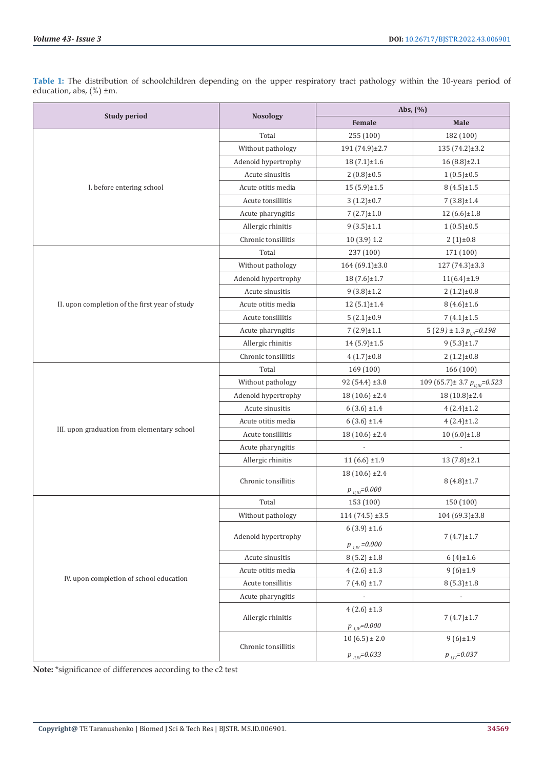**Table 1:** The distribution of schoolchildren depending on the upper respiratory tract pathology within the 10-years period of education, abs, (%) ±m.

|                                                                                                                                                                                              |                                        | Abs, $(\%)$                      |                                       |  |
|----------------------------------------------------------------------------------------------------------------------------------------------------------------------------------------------|----------------------------------------|----------------------------------|---------------------------------------|--|
|                                                                                                                                                                                              | <b>Nosology</b>                        | Female                           | Male                                  |  |
| <b>Study period</b><br>I. before entering school<br>II. upon completion of the first year of study<br>III. upon graduation from elementary school<br>IV. upon completion of school education | Total                                  | 255 (100)                        | 182 (100)                             |  |
|                                                                                                                                                                                              | Without pathology                      | 191 (74.9)±2.7                   | $135(74.2) \pm 3.2$                   |  |
|                                                                                                                                                                                              | Adenoid hypertrophy                    | $18(7.1) \pm 1.6$                | $16(8.8) \pm 2.1$                     |  |
|                                                                                                                                                                                              | Acute sinusitis                        | $2(0.8) \pm 0.5$                 | $1(0.5) \pm 0.5$                      |  |
|                                                                                                                                                                                              | Acute otitis media                     | $15(5.9) \pm 1.5$                | $8(4.5) \pm 1.5$                      |  |
|                                                                                                                                                                                              | Acute tonsillitis                      | $3(1.2) \pm 0.7$                 | $7(3.8) \pm 1.4$                      |  |
|                                                                                                                                                                                              | Acute pharyngitis                      | $7(2.7) \pm 1.0$                 | $12(6.6) \pm 1.8$                     |  |
|                                                                                                                                                                                              | Allergic rhinitis                      | $9(3.5) \pm 1.1$                 | $1(0.5) \pm 0.5$                      |  |
|                                                                                                                                                                                              | Chronic tonsillitis                    | 10 (3.9) 1.2                     | $2(1) \pm 0.8$                        |  |
|                                                                                                                                                                                              | Total                                  | 237 (100)                        | 171 (100)                             |  |
|                                                                                                                                                                                              | Without pathology                      | 164 (69.1)±3.0                   | $127(74.3) \pm 3.3$                   |  |
|                                                                                                                                                                                              | Adenoid hypertrophy                    | 18(7.6)±1.7                      | $11(6.4) \pm 1.9$                     |  |
|                                                                                                                                                                                              | Acute sinusitis                        | $9(3.8) \pm 1.2$                 | $2(1.2) \pm 0.8$                      |  |
|                                                                                                                                                                                              | Acute otitis media                     | $12(5.1) \pm 1.4$                | $8(4.6) \pm 1.6$                      |  |
|                                                                                                                                                                                              | Acute tonsillitis                      | $5(2.1) \pm 0.9$                 | $7(4.1) \pm 1.5$                      |  |
|                                                                                                                                                                                              | Acute pharyngitis                      | $7(2.9) \pm 1.1$                 | 5 (2.9) ± 1.3 $p_{III}$ =0.198        |  |
|                                                                                                                                                                                              | Allergic rhinitis                      | $14(5.9) \pm 1.5$                | $9(5.3) \pm 1.7$                      |  |
|                                                                                                                                                                                              | Chronic tonsillitis                    | $4(1.7) \pm 0.8$                 | $2(1.2) \pm 0.8$                      |  |
|                                                                                                                                                                                              | Total                                  | 169 (100)                        | 166 (100)                             |  |
|                                                                                                                                                                                              | Without pathology                      | 92 (54.4) ±3.8                   | 109 (65.7) ± 3.7 $p_{\mu \mu}$ =0.523 |  |
|                                                                                                                                                                                              | Adenoid hypertrophy                    | 18 (10.6) ±2.4                   | 18 (10.8)±2.4                         |  |
|                                                                                                                                                                                              | Acute sinusitis                        | $6(3.6) \pm 1.4$                 | $4(2.4) \pm 1.2$                      |  |
|                                                                                                                                                                                              | Acute otitis media                     | $6(3.6) \pm 1.4$                 | $4(2.4) \pm 1.2$                      |  |
|                                                                                                                                                                                              | Acute tonsillitis                      | $18(10.6) \pm 2.4$               | $10(6.0) \pm 1.8$                     |  |
|                                                                                                                                                                                              | Acute pharyngitis                      |                                  |                                       |  |
|                                                                                                                                                                                              | Allergic rhinitis                      | $11(6.6) \pm 1.9$                | $13(7.8) \pm 2.1$                     |  |
|                                                                                                                                                                                              |                                        | $18(10.6) \pm 2.4$               | $8(4.8) \pm 1.7$                      |  |
|                                                                                                                                                                                              | Chronic tonsillitis                    | $p$ <sub><i>u,m</i></sub> =0.000 |                                       |  |
|                                                                                                                                                                                              | Total                                  | 153 (100)                        | 150 (100)                             |  |
|                                                                                                                                                                                              | Without pathology                      | $114(74.5) \pm 3.5$              | $104(69.3) \pm 3.8$                   |  |
|                                                                                                                                                                                              |                                        | $6(3.9) \pm 1.6$                 |                                       |  |
|                                                                                                                                                                                              | Adenoid hypertrophy                    |                                  | $7(4.7) \pm 1.7$                      |  |
|                                                                                                                                                                                              |                                        | $p_{1,IV} = 0.000$               |                                       |  |
|                                                                                                                                                                                              | Acute sinusitis                        | $8(5.2) \pm 1.8$                 | $6(4) \pm 1.6$                        |  |
|                                                                                                                                                                                              | Acute otitis media                     | $4(2.6) \pm 1.3$                 | $9(6) \pm 1.9$                        |  |
|                                                                                                                                                                                              | Acute tonsillitis                      | $7(4.6) \pm 1.7$                 | $8(5.3) \pm 1.8$                      |  |
|                                                                                                                                                                                              | Acute pharyngitis<br>Allergic rhinitis |                                  |                                       |  |
|                                                                                                                                                                                              |                                        | $4(2.6) \pm 1.3$                 | $7(4.7) \pm 1.7$                      |  |
|                                                                                                                                                                                              |                                        | $p_{1,IV} = 0.000$               |                                       |  |
|                                                                                                                                                                                              | Chronic tonsillitis                    | $10(6.5) \pm 2.0$                | $9(6) \pm 1.9$                        |  |
|                                                                                                                                                                                              |                                        | $p_{ll,IV} = 0.033$              | $p_{LIV} = 0.037$                     |  |

**Note:** \*significance of differences according to the c2 test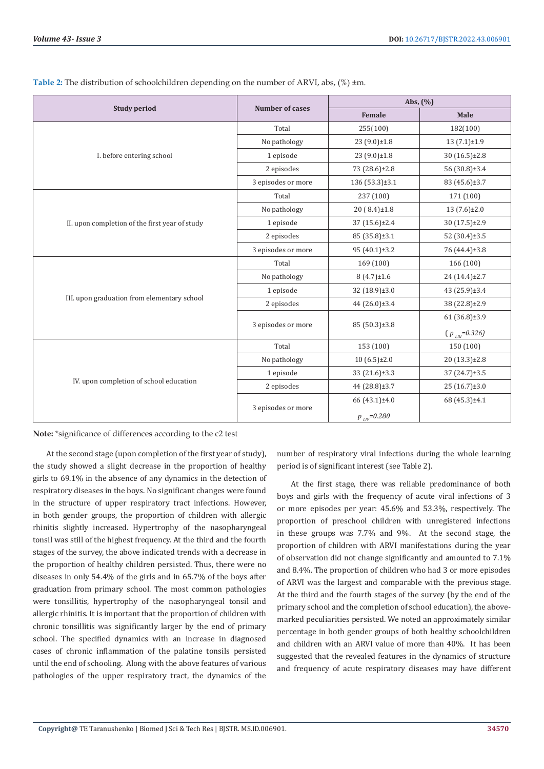|                                                                           |                                                                                                            | Abs, $(\% )$                                                                                                                                                                           |                     |  |
|---------------------------------------------------------------------------|------------------------------------------------------------------------------------------------------------|----------------------------------------------------------------------------------------------------------------------------------------------------------------------------------------|---------------------|--|
| <b>Study period</b>                                                       | <b>Number of cases</b>                                                                                     | <b>Female</b><br>255(100)<br>$23(9.0) \pm 1.8$<br>23 (9.0)±1.8<br>73 (28.6)±2.8<br>$136(53.3) \pm 3.1$<br>237 (100)<br>20 (8.4)±1.8<br>37 (15.6)±2.4<br>85 (35.8)±3.1<br>95 (40.1)±3.2 | Male                |  |
|                                                                           | Total                                                                                                      |                                                                                                                                                                                        | 182(100)            |  |
|                                                                           | No pathology                                                                                               |                                                                                                                                                                                        | $13(7.1) \pm 1.9$   |  |
| I. before entering school                                                 | 1 episode                                                                                                  |                                                                                                                                                                                        | 30 (16.5)±2.8       |  |
|                                                                           | 2 episodes                                                                                                 |                                                                                                                                                                                        | 56 (30.8)±3.4       |  |
|                                                                           | 3 episodes or more                                                                                         |                                                                                                                                                                                        | 83 (45.6)±3.7       |  |
| II. upon completion of the first year of study                            | Total                                                                                                      |                                                                                                                                                                                        | 171 (100)           |  |
|                                                                           | No pathology                                                                                               |                                                                                                                                                                                        | $13(7.6) \pm 2.0$   |  |
|                                                                           | 1 episode                                                                                                  |                                                                                                                                                                                        | 30 (17.5)±2.9       |  |
|                                                                           | 2 episodes                                                                                                 |                                                                                                                                                                                        | 52 (30.4)±3.5       |  |
|                                                                           | 3 episodes or more                                                                                         |                                                                                                                                                                                        | 76 (44.4)±3.8       |  |
|                                                                           | Total                                                                                                      | 169 (100)                                                                                                                                                                              | 166 (100)           |  |
|                                                                           | No pathology                                                                                               | $8(4.7) \pm 1.6$                                                                                                                                                                       | 24 (14.4)±2.7       |  |
|                                                                           | 1 episode                                                                                                  | 32 (18.9)±3.0                                                                                                                                                                          | 43 (25.9)±3.4       |  |
| III. upon graduation from elementary school                               | 2 episodes<br>3 episodes or more<br>Total<br>No pathology<br>1 episode<br>2 episodes<br>3 episodes or more | 44 (26.0)±3.4                                                                                                                                                                          | 38 (22.8)±2.9       |  |
|                                                                           |                                                                                                            |                                                                                                                                                                                        | $61(36.8) \pm 3.9$  |  |
|                                                                           |                                                                                                            | 85 (50.3)±3.8                                                                                                                                                                          | $(p_{\mu m}=0.326)$ |  |
|                                                                           |                                                                                                            | 153 (100)                                                                                                                                                                              | 150 (100)           |  |
|                                                                           |                                                                                                            | $10(6.5) \pm 2.0$                                                                                                                                                                      | 20 (13.3)±2.8       |  |
|                                                                           |                                                                                                            | 33 (21.6)±3.3                                                                                                                                                                          | 37 (24.7)±3.5       |  |
| IV. upon completion of school education<br>44 (28.8)±3.7<br>66 (43.1)±4.0 | 25 (16.7)±3.0                                                                                              |                                                                                                                                                                                        |                     |  |
|                                                                           |                                                                                                            |                                                                                                                                                                                        | 68 (45.3)±4.1       |  |
|                                                                           |                                                                                                            | $p_{\mu\nu} = 0.280$                                                                                                                                                                   |                     |  |

|  | Table 2: The distribution of schoolchildren depending on the number of ARVI, abs, (%) ±m. |  |  |
|--|-------------------------------------------------------------------------------------------|--|--|
|  |                                                                                           |  |  |

**Note:** \*significance of differences according to the c2 test

At the second stage (upon completion of the first year of study), the study showed a slight decrease in the proportion of healthy girls to 69.1% in the absence of any dynamics in the detection of respiratory diseases in the boys. No significant changes were found in the structure of upper respiratory tract infections. However, in both gender groups, the proportion of children with allergic rhinitis slightly increased. Hypertrophy of the nasopharyngeal tonsil was still of the highest frequency. At the third and the fourth stages of the survey, the above indicated trends with a decrease in the proportion of healthy children persisted. Thus, there were no diseases in only 54.4% of the girls and in 65.7% of the boys after graduation from primary school. The most common pathologies were tonsillitis, hypertrophy of the nasopharyngeal tonsil and allergic rhinitis. It is important that the proportion of children with chronic tonsillitis was significantly larger by the end of primary school. The specified dynamics with an increase in diagnosed cases of chronic inflammation of the palatine tonsils persisted until the end of schooling. Along with the above features of various pathologies of the upper respiratory tract, the dynamics of the

number of respiratory viral infections during the whole learning period is of significant interest (see Table 2).

At the first stage, there was reliable predominance of both boys and girls with the frequency of acute viral infections of 3 or more episodes per year: 45.6% and 53.3%, respectively. The proportion of preschool children with unregistered infections in these groups was 7.7% and 9%. At the second stage, the proportion of children with ARVI manifestations during the year of observation did not change significantly and amounted to 7.1% and 8.4%. The proportion of children who had 3 or more episodes of ARVI was the largest and comparable with the previous stage. At the third and the fourth stages of the survey (by the end of the primary school and the completion of school education), the abovemarked peculiarities persisted. We noted an approximately similar percentage in both gender groups of both healthy schoolchildren and children with an ARVI value of more than 40%. It has been suggested that the revealed features in the dynamics of structure and frequency of acute respiratory diseases may have different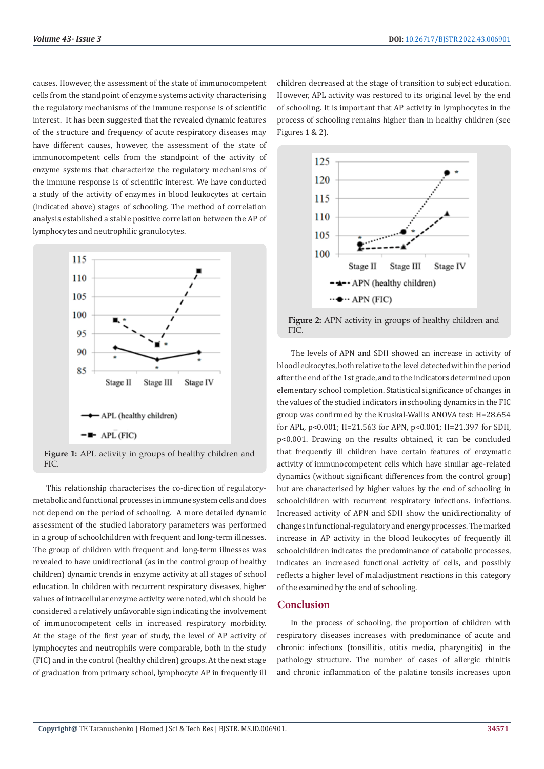causes. However, the assessment of the state of immunocompetent cells from the standpoint of enzyme systems activity characterising the regulatory mechanisms of the immune response is of scientific interest. It has been suggested that the revealed dynamic features of the structure and frequency of acute respiratory diseases may have different causes, however, the assessment of the state of immunocompetent cells from the standpoint of the activity of enzyme systems that characterize the regulatory mechanisms of the immune response is of scientific interest. We have conducted a study of the activity of enzymes in blood leukocytes at certain (indicated above) stages of schooling. The method of correlation analysis established a stable positive correlation between the AP of lymphocytes and neutrophilic granulocytes.



This relationship characterises the co-direction of regulatorymetabolic and functional processes in immune system cells and does not depend on the period of schooling. A more detailed dynamic assessment of the studied laboratory parameters was performed in a group of schoolchildren with frequent and long-term illnesses. The group of children with frequent and long-term illnesses was revealed to have unidirectional (as in the control group of healthy children) dynamic trends in enzyme activity at all stages of school education. In children with recurrent respiratory diseases, higher values of intracellular enzyme activity were noted, which should be considered a relatively unfavorable sign indicating the involvement of immunocompetent cells in increased respiratory morbidity. At the stage of the first year of study, the level of AP activity of lymphocytes and neutrophils were comparable, both in the study (FIC) and in the control (healthy children) groups. At the next stage of graduation from primary school, lymphocyte AP in frequently ill

children decreased at the stage of transition to subject education. However, APL activity was restored to its original level by the end of schooling. It is important that AP activity in lymphocytes in the process of schooling remains higher than in healthy children (see Figures 1 & 2).



**Figure 2:** APN activity in groups of healthy children and FIC.

The levels of APN and SDH showed an increase in activity of blood leukocytes, both relative to the level detected within the period after the end of the 1st grade, and to the indicators determined upon elementary school completion. Statistical significance of changes in the values of the studied indicators in schooling dynamics in the FIC group was confirmed by the Kruskal-Wallis ANOVA test: H=28.654 for APL, p<0.001; H=21.563 for APN, p<0.001; H=21.397 for SDH, p<0.001. Drawing on the results obtained, it can be concluded that frequently ill children have certain features of enzymatic activity of immunocompetent cells which have similar age-related dynamics (without significant differences from the control group) but are characterised by higher values by the end of schooling in schoolchildren with recurrent respiratory infections. infections. Increased activity of APN and SDH show the unidirectionality of changes in functional-regulatory and energy processes. The marked increase in AP activity in the blood leukocytes of frequently ill schoolchildren indicates the predominance of catabolic processes, indicates an increased functional activity of cells, and possibly reflects a higher level of maladjustment reactions in this category of the examined by the end of schooling.

### **Conclusion**

In the process of schooling, the proportion of children with respiratory diseases increases with predominance of acute and chronic infections (tonsillitis, otitis media, pharyngitis) in the pathology structure. The number of cases of allergic rhinitis and chronic inflammation of the palatine tonsils increases upon